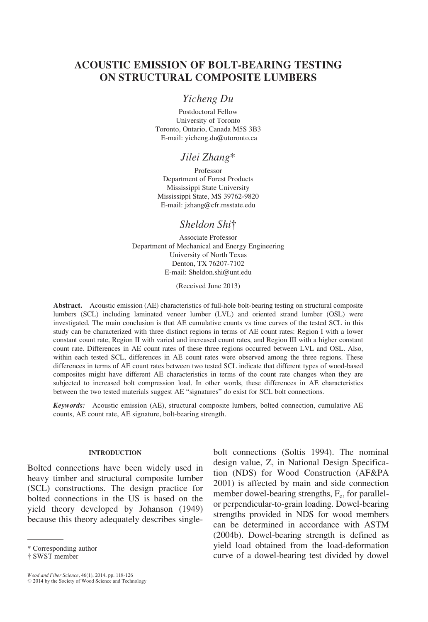# ACOUSTIC EMISSION OF BOLT-BEARING TESTING ON STRUCTURAL COMPOSITE LUMBERS

# Yicheng Du

Postdoctoral Fellow University of Toronto Toronto, Ontario, Canada M5S 3B3 E-mail: yicheng.du@utoronto.ca

# Jilei Zhang\*

Professor Department of Forest Products Mississippi State University Mississippi State, MS 39762-9820 E-mail: jzhang@cfr.msstate.edu

# Sheldon Shi<sup>†</sup>

Associate Professor Department of Mechanical and Energy Engineering University of North Texas Denton, TX 76207-7102 E-mail: Sheldon.shi@unt.edu

(Received June 2013)

Abstract. Acoustic emission (AE) characteristics of full-hole bolt-bearing testing on structural composite lumbers (SCL) including laminated veneer lumber (LVL) and oriented strand lumber (OSL) were investigated. The main conclusion is that AE cumulative counts vs time curves of the tested SCL in this study can be characterized with three distinct regions in terms of AE count rates: Region I with a lower constant count rate, Region II with varied and increased count rates, and Region III with a higher constant count rate. Differences in AE count rates of these three regions occurred between LVL and OSL. Also, within each tested SCL, differences in AE count rates were observed among the three regions. These differences in terms of AE count rates between two tested SCL indicate that different types of wood-based composites might have different AE characteristics in terms of the count rate changes when they are subjected to increased bolt compression load. In other words, these differences in AE characteristics between the two tested materials suggest AE "signatures" do exist for SCL bolt connections.

Keywords: Acoustic emission (AE), structural composite lumbers, bolted connection, cumulative AE counts, AE count rate, AE signature, bolt-bearing strength.

#### INTRODUCTION

Bolted connections have been widely used in heavy timber and structural composite lumber (SCL) constructions. The design practice for bolted connections in the US is based on the yield theory developed by Johanson (1949) because this theory adequately describes single-

bolt connections (Soltis 1994). The nominal design value, Z, in National Design Specification (NDS) for Wood Construction (AF&PA 2001) is affected by main and side connection member dowel-bearing strengths,  $F_e$ , for parallelor perpendicular-to-grain loading. Dowel-bearing strengths provided in NDS for wood members can be determined in accordance with ASTM (2004b). Dowel-bearing strength is defined as yield load obtained from the load-deformation \* Corresponding author the subsection of a dowel-bearing test divided by dowel \* SWST member

<sup>{</sup> SWST member

Wood and Fiber Science, 46(1), 2014, pp. 118-126<br>© 2014 by the Society of Wood Science and Technology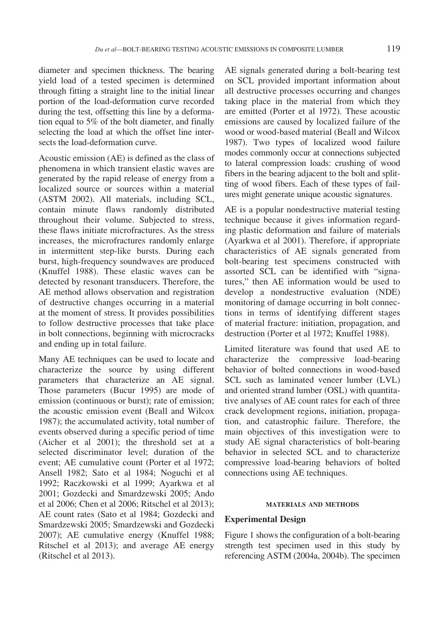diameter and specimen thickness. The bearing yield load of a tested specimen is determined through fitting a straight line to the initial linear portion of the load-deformation curve recorded during the test, offsetting this line by a deformation equal to 5% of the bolt diameter, and finally selecting the load at which the offset line intersects the load-deformation curve.

Acoustic emission (AE) is defined as the class of phenomena in which transient elastic waves are generated by the rapid release of energy from a localized source or sources within a material (ASTM 2002). All materials, including SCL, contain minute flaws randomly distributed throughout their volume. Subjected to stress, these flaws initiate microfractures. As the stress increases, the microfractures randomly enlarge in intermittent step-like bursts. During each burst, high-frequency soundwaves are produced (Knuffel 1988). These elastic waves can be detected by resonant transducers. Therefore, the AE method allows observation and registration of destructive changes occurring in a material at the moment of stress. It provides possibilities to follow destructive processes that take place in bolt connections, beginning with microcracks and ending up in total failure.

Many AE techniques can be used to locate and characterize the source by using different parameters that characterize an AE signal. Those parameters (Bucur 1995) are mode of emission (continuous or burst); rate of emission; the acoustic emission event (Beall and Wilcox 1987); the accumulated activity, total number of events observed during a specific period of time (Aicher et al 2001); the threshold set at a selected discriminator level; duration of the event; AE cumulative count (Porter et al 1972; Ansell 1982; Sato et al 1984; Noguchi et al 1992; Raczkowski et al 1999; Ayarkwa et al 2001; Gozdecki and Smardzewski 2005; Ando et al 2006; Chen et al 2006; Ritschel et al 2013); AE count rates (Sato et al 1984; Gozdecki and Smardzewski 2005; Smardzewski and Gozdecki 2007); AE cumulative energy (Knuffel 1988; Ritschel et al 2013); and average AE energy (Ritschel et al 2013).

AE signals generated during a bolt-bearing test on SCL provided important information about all destructive processes occurring and changes taking place in the material from which they are emitted (Porter et al 1972). These acoustic emissions are caused by localized failure of the wood or wood-based material (Beall and Wilcox 1987). Two types of localized wood failure modes commonly occur at connections subjected to lateral compression loads: crushing of wood fibers in the bearing adjacent to the bolt and splitting of wood fibers. Each of these types of failures might generate unique acoustic signatures.

AE is a popular nondestructive material testing technique because it gives information regarding plastic deformation and failure of materials (Ayarkwa et al 2001). Therefore, if appropriate characteristics of AE signals generated from bolt-bearing test specimens constructed with assorted SCL can be identified with "signatures," then AE information would be used to develop a nondestructive evaluation (NDE) monitoring of damage occurring in bolt connections in terms of identifying different stages of material fracture: initiation, propagation, and destruction (Porter et al 1972; Knuffel 1988).

Limited literature was found that used AE to characterize the compressive load-bearing behavior of bolted connections in wood-based SCL such as laminated veneer lumber (LVL) and oriented strand lumber (OSL) with quantitative analyses of AE count rates for each of three crack development regions, initiation, propagation, and catastrophic failure. Therefore, the main objectives of this investigation were to study AE signal characteristics of bolt-bearing behavior in selected SCL and to characterize compressive load-bearing behaviors of bolted connections using AE techniques.

### MATERIALS AND METHODS

### Experimental Design

Figure 1 shows the configuration of a bolt-bearing strength test specimen used in this study by referencing ASTM (2004a, 2004b). The specimen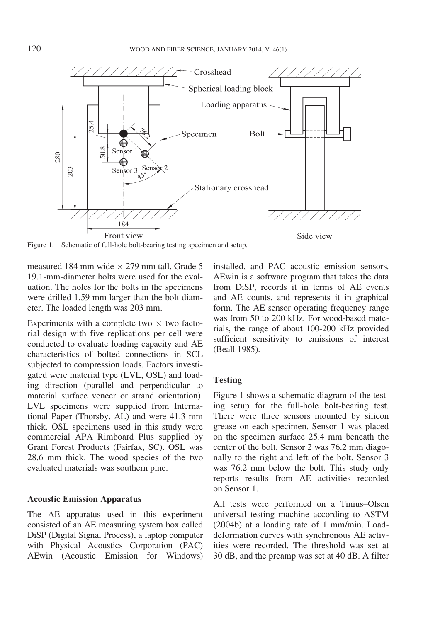

Figure 1. Schematic of full-hole bolt-bearing testing specimen and setup.

measured 184 mm wide  $\times$  279 mm tall. Grade 5 19.1-mm-diameter bolts were used for the evaluation. The holes for the bolts in the specimens were drilled 1.59 mm larger than the bolt diameter. The loaded length was 203 mm.

Experiments with a complete two  $\times$  two factorial design with five replications per cell were conducted to evaluate loading capacity and AE characteristics of bolted connections in SCL subjected to compression loads. Factors investigated were material type (LVL, OSL) and loading direction (parallel and perpendicular to material surface veneer or strand orientation). LVL specimens were supplied from International Paper (Thorsby, AL) and were 41.3 mm thick. OSL specimens used in this study were commercial APA Rimboard Plus supplied by Grant Forest Products (Fairfax, SC). OSL was 28.6 mm thick. The wood species of the two evaluated materials was southern pine.

### Acoustic Emission Apparatus

The AE apparatus used in this experiment consisted of an AE measuring system box called DiSP (Digital Signal Process), a laptop computer with Physical Acoustics Corporation (PAC) AEwin (Acoustic Emission for Windows) installed, and PAC acoustic emission sensors. AEwin is a software program that takes the data from DiSP, records it in terms of AE events and AE counts, and represents it in graphical form. The AE sensor operating frequency range was from 50 to 200 kHz. For wood-based materials, the range of about 100-200 kHz provided sufficient sensitivity to emissions of interest (Beall 1985).

# **Testing**

Figure 1 shows a schematic diagram of the testing setup for the full-hole bolt-bearing test. There were three sensors mounted by silicon grease on each specimen. Sensor 1 was placed on the specimen surface 25.4 mm beneath the center of the bolt. Sensor 2 was 76.2 mm diagonally to the right and left of the bolt. Sensor 3 was 76.2 mm below the bolt. This study only reports results from AE activities recorded on Sensor 1.

All tests were performed on a Tinius–Olsen universal testing machine according to ASTM (2004b) at a loading rate of 1 mm/min. Loaddeformation curves with synchronous AE activities were recorded. The threshold was set at 30 dB, and the preamp was set at 40 dB. A filter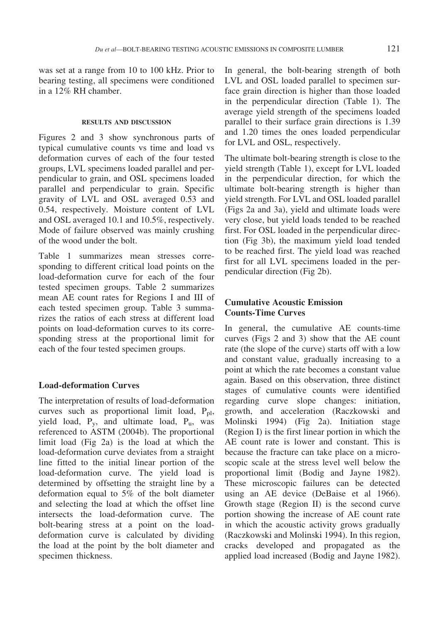was set at a range from 10 to 100 kHz. Prior to bearing testing, all specimens were conditioned in a 12% RH chamber.

### RESULTS AND DISCUSSION

Figures 2 and 3 show synchronous parts of typical cumulative counts vs time and load vs deformation curves of each of the four tested groups, LVL specimens loaded parallel and perpendicular to grain, and OSL specimens loaded parallel and perpendicular to grain. Specific gravity of LVL and OSL averaged 0.53 and 0.54, respectively. Moisture content of LVL and OSL averaged 10.1 and 10.5%, respectively. Mode of failure observed was mainly crushing of the wood under the bolt.

Table 1 summarizes mean stresses corresponding to different critical load points on the load-deformation curve for each of the four tested specimen groups. Table 2 summarizes mean AE count rates for Regions I and III of each tested specimen group. Table 3 summarizes the ratios of each stress at different load points on load-deformation curves to its corresponding stress at the proportional limit for each of the four tested specimen groups.

# Load-deformation Curves

The interpretation of results of load-deformation curves such as proportional limit load,  $P_{pl}$ , yield load, Py, and ultimate load, Pu, was referenced to ASTM (2004b). The proportional limit load (Fig 2a) is the load at which the load-deformation curve deviates from a straight line fitted to the initial linear portion of the load-deformation curve. The yield load is determined by offsetting the straight line by a deformation equal to 5% of the bolt diameter and selecting the load at which the offset line intersects the load-deformation curve. The bolt-bearing stress at a point on the loaddeformation curve is calculated by dividing the load at the point by the bolt diameter and specimen thickness.

In general, the bolt-bearing strength of both LVL and OSL loaded parallel to specimen surface grain direction is higher than those loaded in the perpendicular direction (Table 1). The average yield strength of the specimens loaded parallel to their surface grain directions is 1.39 and 1.20 times the ones loaded perpendicular for LVL and OSL, respectively.

The ultimate bolt-bearing strength is close to the yield strength (Table 1), except for LVL loaded in the perpendicular direction, for which the ultimate bolt-bearing strength is higher than yield strength. For LVL and OSL loaded parallel (Figs 2a and 3a), yield and ultimate loads were very close, but yield loads tended to be reached first. For OSL loaded in the perpendicular direction (Fig 3b), the maximum yield load tended to be reached first. The yield load was reached first for all LVL specimens loaded in the perpendicular direction (Fig 2b).

# Cumulative Acoustic Emission Counts-Time Curves

In general, the cumulative AE counts-time curves (Figs 2 and 3) show that the AE count rate (the slope of the curve) starts off with a low and constant value, gradually increasing to a point at which the rate becomes a constant value again. Based on this observation, three distinct stages of cumulative counts were identified regarding curve slope changes: initiation, growth, and acceleration (Raczkowski and Molinski 1994) (Fig 2a). Initiation stage (Region I) is the first linear portion in which the AE count rate is lower and constant. This is because the fracture can take place on a microscopic scale at the stress level well below the proportional limit (Bodig and Jayne 1982). These microscopic failures can be detected using an AE device (DeBaise et al 1966). Growth stage (Region II) is the second curve portion showing the increase of AE count rate in which the acoustic activity grows gradually (Raczkowski and Molinski 1994). In this region, cracks developed and propagated as the applied load increased (Bodig and Jayne 1982).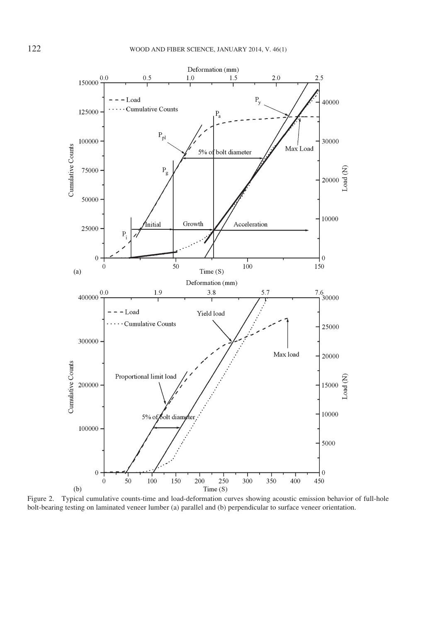

Figure 2. Typical cumulative counts-time and load-deformation curves showing acoustic emission behavior of full-hole bolt-bearing testing on laminated veneer lumber (a) parallel and (b) perpendicular to surface veneer orientation.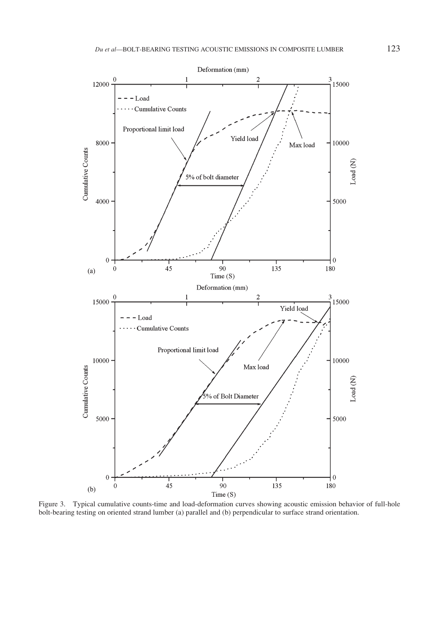

Figure 3. Typical cumulative counts-time and load-deformation curves showing acoustic emission behavior of full-hole bolt-bearing testing on oriented strand lumber (a) parallel and (b) perpendicular to surface strand orientation.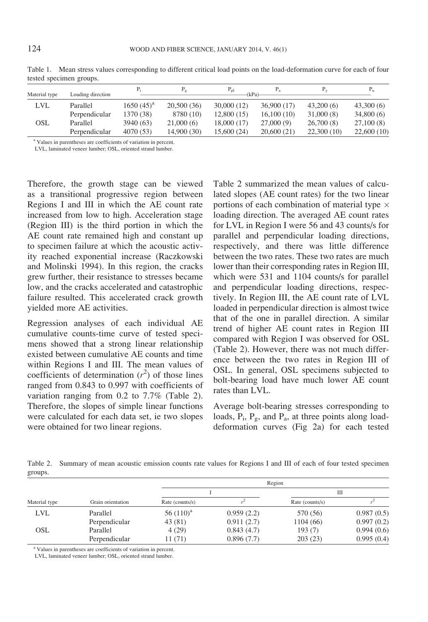| Material type                         | Loading direction |                | $P_g$       | $P_{\rm pl}$<br>(kPa) | $P_{\rm a}$ | $P_v$      |            |
|---------------------------------------|-------------------|----------------|-------------|-----------------------|-------------|------------|------------|
| <b>LVL</b>                            | Parallel          | $1650(45)^{a}$ | 20,500 (36) | 30,000(12)            | 36,900 (17) | 43,200(6)  | 43,300(6)  |
|                                       | Perpendicular     | 1370 (38)      | 8780 (10)   | 12,800(15)            | 16,100(10)  | 31,000(8)  | 34,800(6)  |
| OSL                                   | Parallel          | 3940 (63)      | 21,000(6)   | 18,000 (17)           | 27,000(9)   | 26,700(8)  | 27,100(8)  |
|                                       | Perpendicular     | 4070 (53)      | 14,900(30)  | 15,600 (24)           | 20,600(21)  | 22,300(10) | 22,600(10) |
| and the company's company's company's |                   |                |             |                       |             |            |            |

Table 1. Mean stress values corresponding to different critical load points on the load-deformation curve for each of four tested specimen groups.

<sup>a</sup> Values in parentheses are coefficients of variation in percent.

LVL, laminated veneer lumber; OSL, oriented strand lumber.

Therefore, the growth stage can be viewed as a transitional progressive region between Regions I and III in which the AE count rate increased from low to high. Acceleration stage (Region III) is the third portion in which the AE count rate remained high and constant up to specimen failure at which the acoustic activity reached exponential increase (Raczkowski and Molinski 1994). In this region, the cracks grew further, their resistance to stresses became low, and the cracks accelerated and catastrophic failure resulted. This accelerated crack growth yielded more AE activities.

Regression analyses of each individual AE cumulative counts-time curve of tested specimens showed that a strong linear relationship existed between cumulative AE counts and time within Regions I and III. The mean values of coefficients of determination  $(r^2)$  of those lines ranged from 0.843 to 0.997 with coefficients of variation ranging from 0.2 to 7.7% (Table 2). Therefore, the slopes of simple linear functions were calculated for each data set, ie two slopes were obtained for two linear regions.

Table 2 summarized the mean values of calculated slopes (AE count rates) for the two linear portions of each combination of material type  $\times$ loading direction. The averaged AE count rates for LVL in Region I were 56 and 43 counts/s for parallel and perpendicular loading directions, respectively, and there was little difference between the two rates. These two rates are much lower than their corresponding rates in Region III, which were 531 and 1104 counts/s for parallel and perpendicular loading directions, respectively. In Region III, the AE count rate of LVL loaded in perpendicular direction is almost twice that of the one in parallel direction. A similar trend of higher AE count rates in Region III compared with Region I was observed for OSL (Table 2). However, there was not much difference between the two rates in Region III of OSL. In general, OSL specimens subjected to bolt-bearing load have much lower AE count rates than LVL.

Average bolt-bearing stresses corresponding to loads,  $P_i$ ,  $P_g$ , and  $P_a$ , at three points along loaddeformation curves (Fig 2a) for each tested

Table 2. Summary of mean acoustic emission counts rate values for Regions I and III of each of four tested specimen groups.

|               |                   | Region          |            |                 |            |  |  |
|---------------|-------------------|-----------------|------------|-----------------|------------|--|--|
|               |                   |                 |            | Ш               |            |  |  |
| Material type | Grain orientation | Rate (counts/s) |            | Rate (counts/s) |            |  |  |
| LVL           | Parallel          | 56 $(110)^a$    | 0.959(2.2) | 570 (56)        | 0.987(0.5) |  |  |
|               | Perpendicular     | 43 (81)         | 0.911(2.7) | 1104(66)        | 0.997(0.2) |  |  |
| <b>OSL</b>    | Parallel          | 4(29)           | 0.843(4.7) | 193(7)          | 0.994(0.6) |  |  |
|               | Perpendicular     | 11 (71)         | 0.896(7.7) | 203(23)         | 0.995(0.4) |  |  |

<sup>a</sup> Values in parentheses are coefficients of variation in percent.

LVL, laminated veneer lumber; OSL, oriented strand lumber.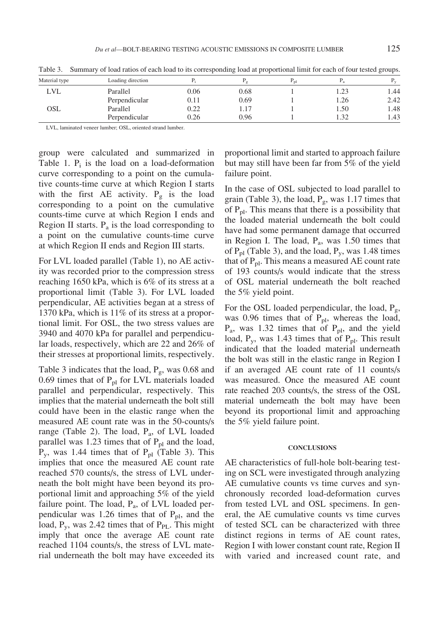| Material type | Loading direction |      | $\pm$ $\alpha$ | $n_{\rm pl}$ |      | ALC: Y |
|---------------|-------------------|------|----------------|--------------|------|--------|
| LVL           | Parallel          | 0.06 | 0.68           |              |      | 1.44   |
|               | Perpendicular     | 0.11 | 0.69           |              | 1.26 | 2.42   |
| OSL           | Parallel          | 0.22 |                |              | 1.50 | 1.48   |
|               | Perpendicular     | 0.26 | 0.96           |              | 1.32 | 1.43   |

Table 3. Summary of load ratios of each load to its corresponding load at proportional limit for each of four tested groups.

LVL, laminated veneer lumber; OSL, oriented strand lumber.

group were calculated and summarized in Table 1.  $P_i$  is the load on a load-deformation curve corresponding to a point on the cumulative counts-time curve at which Region I starts with the first AE activity.  $P_g$  is the load corresponding to a point on the cumulative counts-time curve at which Region I ends and Region II starts.  $P_a$  is the load corresponding to a point on the cumulative counts-time curve at which Region II ends and Region III starts.

For LVL loaded parallel (Table 1), no AE activity was recorded prior to the compression stress reaching 1650 kPa, which is 6% of its stress at a proportional limit (Table 3). For LVL loaded perpendicular, AE activities began at a stress of 1370 kPa, which is 11% of its stress at a proportional limit. For OSL, the two stress values are 3940 and 4070 kPa for parallel and perpendicular loads, respectively, which are 22 and 26% of their stresses at proportional limits, respectively.

Table 3 indicates that the load,  $P_g$ , was 0.68 and 0.69 times that of  $P_{pl}$  for LVL materials loaded parallel and perpendicular, respectively. This implies that the material underneath the bolt still could have been in the elastic range when the measured AE count rate was in the 50-counts/s range (Table 2). The load,  $P_a$ , of LVL loaded parallel was 1.23 times that of  $P_{pl}$  and the load,  $P_y$ , was 1.44 times that of  $P_{pl}$  (Table 3). This implies that once the measured AE count rate reached 570 counts/s, the stress of LVL underneath the bolt might have been beyond its proportional limit and approaching 5% of the yield failure point. The load, Pa, of LVL loaded perpendicular was 1.26 times that of  $P_{pl}$ , and the load,  $P_v$ , was 2.42 times that of  $P_{PL}$ . This might imply that once the average AE count rate reached 1104 counts/s, the stress of LVL material underneath the bolt may have exceeded its

proportional limit and started to approach failure but may still have been far from 5% of the yield failure point.

In the case of OSL subjected to load parallel to grain (Table 3), the load,  $P_g$ , was 1.17 times that of  $P_{\text{pl}}$ . This means that there is a possibility that the loaded material underneath the bolt could have had some permanent damage that occurred in Region I. The load, Pa, was 1.50 times that of  $P_{pl}$  (Table 3), and the load,  $P_y$ , was 1.48 times that of  $P_{pl}$ . This means a measured AE count rate of 193 counts/s would indicate that the stress of OSL material underneath the bolt reached the 5% yield point.

For the OSL loaded perpendicular, the load,  $P_{\varrho}$ , was  $0.96$  times that of  $P_{pl}$ , whereas the load,  $P_a$ , was 1.32 times that of  $P_{pl}$ , and the yield load,  $P_y$ , was 1.43 times that of  $P_{pl}$ . This result indicated that the loaded material underneath the bolt was still in the elastic range in Region I if an averaged AE count rate of 11 counts/s was measured. Once the measured AE count rate reached 203 counts/s, the stress of the OSL material underneath the bolt may have been beyond its proportional limit and approaching the 5% yield failure point.

#### **CONCLUSIONS**

AE characteristics of full-hole bolt-bearing testing on SCL were investigated through analyzing AE cumulative counts vs time curves and synchronously recorded load-deformation curves from tested LVL and OSL specimens. In general, the AE cumulative counts vs time curves of tested SCL can be characterized with three distinct regions in terms of AE count rates, Region I with lower constant count rate, Region II with varied and increased count rate, and